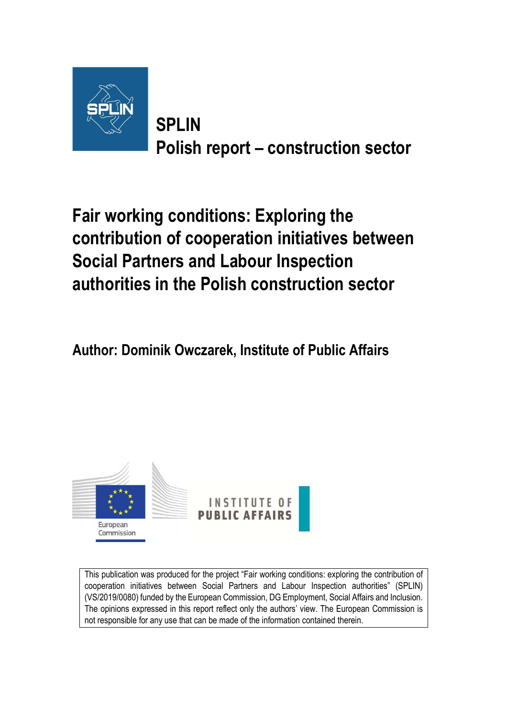

**SPLIN Polish report – construction sector** 

**Fair working conditions: Exploring the contribution of cooperation initiatives between Social Partners and Labour Inspection authorities in the Polish construction sector** 

**Author: Dominik Owczarek, Institute of Public Affairs** 



This publication was produced for the project "Fair working conditions: exploring the contribution of cooperation initiatives between Social Partners and Labour Inspection authorities" (SPLIN) (VS/2019/0080) funded by the European Commission, DG Employment, Social Affairs and Inclusion. The opinions expressed in this report reflect only the authors' view. The European Commission is not responsible for any use that can be made of the information contained therein.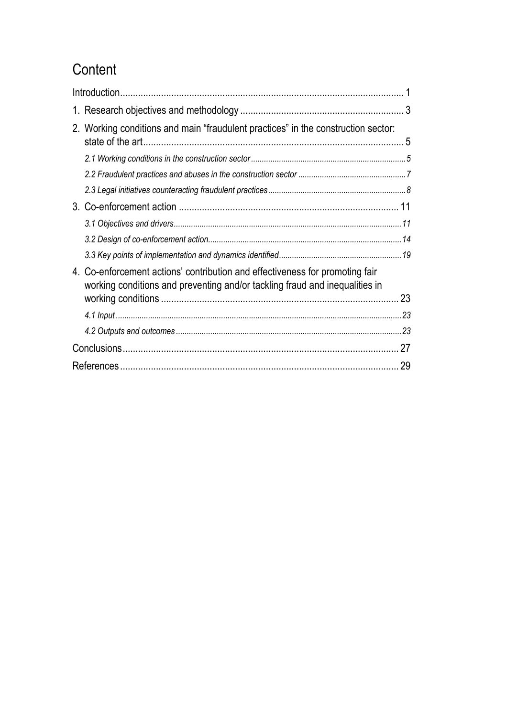# **Content**

| 2. Working conditions and main "fraudulent practices" in the construction sector:                                                                           |  |  |  |  |
|-------------------------------------------------------------------------------------------------------------------------------------------------------------|--|--|--|--|
|                                                                                                                                                             |  |  |  |  |
|                                                                                                                                                             |  |  |  |  |
|                                                                                                                                                             |  |  |  |  |
|                                                                                                                                                             |  |  |  |  |
|                                                                                                                                                             |  |  |  |  |
|                                                                                                                                                             |  |  |  |  |
|                                                                                                                                                             |  |  |  |  |
| 4. Co-enforcement actions' contribution and effectiveness for promoting fair<br>working conditions and preventing and/or tackling fraud and inequalities in |  |  |  |  |
|                                                                                                                                                             |  |  |  |  |
|                                                                                                                                                             |  |  |  |  |
|                                                                                                                                                             |  |  |  |  |
| 27                                                                                                                                                          |  |  |  |  |
| 29                                                                                                                                                          |  |  |  |  |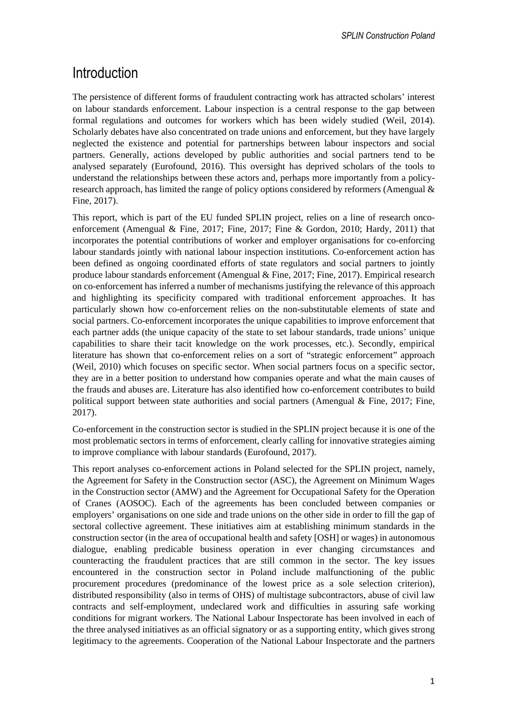## Introduction

The persistence of different forms of fraudulent contracting work has attracted scholars' interest on labour standards enforcement. Labour inspection is a central response to the gap between formal regulations and outcomes for workers which has been widely studied (Weil, 2014). Scholarly debates have also concentrated on trade unions and enforcement, but they have largely neglected the existence and potential for partnerships between labour inspectors and social partners. Generally, actions developed by public authorities and social partners tend to be analysed separately (Eurofound, 2016). This oversight has deprived scholars of the tools to understand the relationships between these actors and, perhaps more importantly from a policyresearch approach, has limited the range of policy options considered by reformers (Amengual & Fine, 2017).

This report, which is part of the EU funded SPLIN project, relies on a line of research oncoenforcement (Amengual & Fine, 2017; Fine, 2017; Fine & Gordon, 2010; Hardy, 2011) that incorporates the potential contributions of worker and employer organisations for co-enforcing labour standards jointly with national labour inspection institutions. Co-enforcement action has been defined as ongoing coordinated efforts of state regulators and social partners to jointly produce labour standards enforcement (Amengual & Fine, 2017; Fine, 2017). Empirical research on co-enforcement has inferred a number of mechanisms justifying the relevance of this approach and highlighting its specificity compared with traditional enforcement approaches. It has particularly shown how co-enforcement relies on the non-substitutable elements of state and social partners. Co-enforcement incorporates the unique capabilities to improve enforcement that each partner adds (the unique capacity of the state to set labour standards, trade unions' unique capabilities to share their tacit knowledge on the work processes, etc.). Secondly, empirical literature has shown that co-enforcement relies on a sort of "strategic enforcement" approach (Weil, 2010) which focuses on specific sector. When social partners focus on a specific sector, they are in a better position to understand how companies operate and what the main causes of the frauds and abuses are. Literature has also identified how co-enforcement contributes to build political support between state authorities and social partners (Amengual  $\&$  Fine, 2017; Fine, 2017).

Co-enforcement in the construction sector is studied in the SPLIN project because it is one of the most problematic sectors in terms of enforcement, clearly calling for innovative strategies aiming to improve compliance with labour standards (Eurofound, 2017).

This report analyses co-enforcement actions in Poland selected for the SPLIN project, namely, the Agreement for Safety in the Construction sector (ASC), the Agreement on Minimum Wages in the Construction sector (AMW) and the Agreement for Occupational Safety for the Operation of Cranes (AOSOC). Each of the agreements has been concluded between companies or employers' organisations on one side and trade unions on the other side in order to fill the gap of sectoral collective agreement. These initiatives aim at establishing minimum standards in the construction sector (in the area of occupational health and safety [OSH] or wages) in autonomous dialogue, enabling predicable business operation in ever changing circumstances and counteracting the fraudulent practices that are still common in the sector. The key issues encountered in the construction sector in Poland include malfunctioning of the public procurement procedures (predominance of the lowest price as a sole selection criterion), distributed responsibility (also in terms of OHS) of multistage subcontractors, abuse of civil law contracts and self-employment, undeclared work and difficulties in assuring safe working conditions for migrant workers. The National Labour Inspectorate has been involved in each of the three analysed initiatives as an official signatory or as a supporting entity, which gives strong legitimacy to the agreements. Cooperation of the National Labour Inspectorate and the partners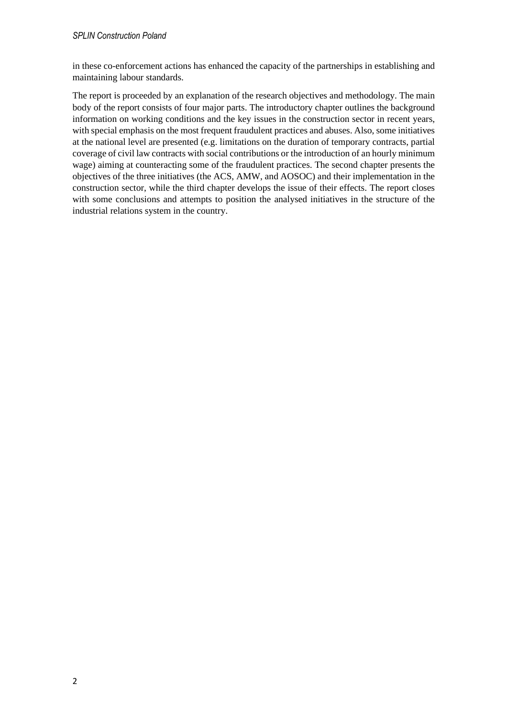in these co-enforcement actions has enhanced the capacity of the partnerships in establishing and maintaining labour standards.

The report is proceeded by an explanation of the research objectives and methodology. The main body of the report consists of four major parts. The introductory chapter outlines the background information on working conditions and the key issues in the construction sector in recent years, with special emphasis on the most frequent fraudulent practices and abuses. Also, some initiatives at the national level are presented (e.g. limitations on the duration of temporary contracts, partial coverage of civil law contracts with social contributions or the introduction of an hourly minimum wage) aiming at counteracting some of the fraudulent practices. The second chapter presents the objectives of the three initiatives (the ACS, AMW, and AOSOC) and their implementation in the construction sector, while the third chapter develops the issue of their effects. The report closes with some conclusions and attempts to position the analysed initiatives in the structure of the industrial relations system in the country.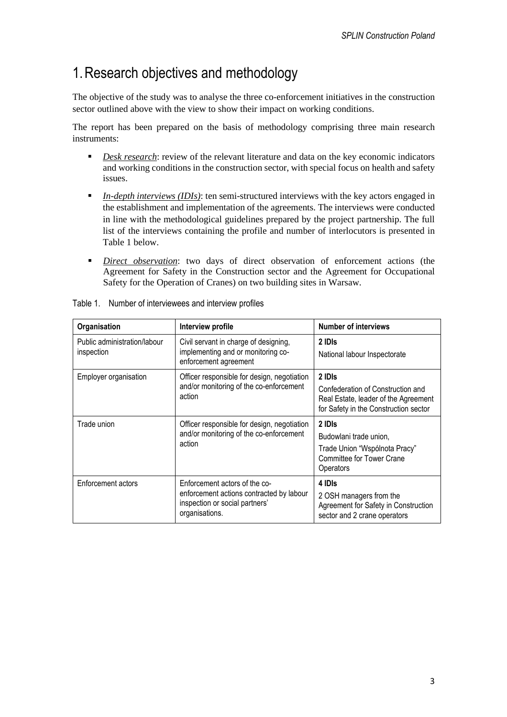# 1.Research objectives and methodology

The objective of the study was to analyse the three co-enforcement initiatives in the construction sector outlined above with the view to show their impact on working conditions.

The report has been prepared on the basis of methodology comprising three main research instruments:

- *Desk research:* review of the relevant literature and data on the key economic indicators and working conditions in the construction sector, with special focus on health and safety issues.
- **In-depth interviews (IDIs):** ten semi-structured interviews with the key actors engaged in the establishment and implementation of the agreements. The interviews were conducted in line with the methodological guidelines prepared by the project partnership. The full list of the interviews containing the profile and number of interlocutors is presented in Table 1 below.
- *Direct observation*: two days of direct observation of enforcement actions (the Agreement for Safety in the Construction sector and the Agreement for Occupational Safety for the Operation of Cranes) on two building sites in Warsaw.

| Organisation                               | Interview profile                                                                                                             | <b>Number of interviews</b>                                                                                                  |  |  |
|--------------------------------------------|-------------------------------------------------------------------------------------------------------------------------------|------------------------------------------------------------------------------------------------------------------------------|--|--|
| Public administration/labour<br>inspection | Civil servant in charge of designing,<br>implementing and or monitoring co-<br>enforcement agreement                          | 2 IDIs<br>National labour Inspectorate                                                                                       |  |  |
| Employer organisation                      | Officer responsible for design, negotiation<br>and/or monitoring of the co-enforcement<br>action                              | 2 IDIs<br>Confederation of Construction and<br>Real Estate, leader of the Agreement<br>for Safety in the Construction sector |  |  |
| Trade union                                | Officer responsible for design, negotiation<br>and/or monitoring of the co-enforcement<br>action                              | 2 IDIs<br>Budowlani trade union,<br>Trade Union "Wspólnota Pracy"<br><b>Committee for Tower Crane</b><br>Operators           |  |  |
| Enforcement actors                         | Enforcement actors of the co-<br>enforcement actions contracted by labour<br>inspection or social partners'<br>organisations. | 4 IDIs<br>2 OSH managers from the<br>Agreement for Safety in Construction<br>sector and 2 crane operators                    |  |  |

| Table 1. Number of interviewees and interview profiles |
|--------------------------------------------------------|
|                                                        |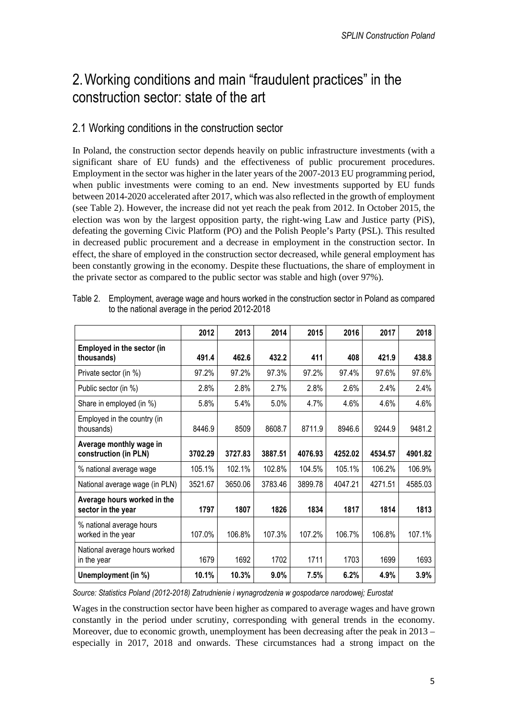## 2.Working conditions and main "fraudulent practices" in the construction sector: state of the art

### 2.1 Working conditions in the construction sector

In Poland, the construction sector depends heavily on public infrastructure investments (with a significant share of EU funds) and the effectiveness of public procurement procedures. Employment in the sector was higher in the later years of the 2007-2013 EU programming period, when public investments were coming to an end. New investments supported by EU funds between 2014-2020 accelerated after 2017, which was also reflected in the growth of employment (see Table 2). However, the increase did not yet reach the peak from 2012. In October 2015, the election was won by the largest opposition party, the right-wing Law and Justice party (PiS), defeating the governing Civic Platform (PO) and the Polish People's Party (PSL). This resulted in decreased public procurement and a decrease in employment in the construction sector. In effect, the share of employed in the construction sector decreased, while general employment has been constantly growing in the economy. Despite these fluctuations, the share of employment in the private sector as compared to the public sector was stable and high (over 97%).

|                                                   | 2012    | 2013    | 2014    | 2015    | 2016    | 2017    | 2018    |
|---------------------------------------------------|---------|---------|---------|---------|---------|---------|---------|
| <b>Employed in the sector (in</b><br>thousands)   | 491.4   | 462.6   | 432.2   | 411     | 408     | 421.9   | 438.8   |
| Private sector (in %)                             | 97.2%   | 97.2%   | 97.3%   | 97.2%   | 97.4%   | 97.6%   | 97.6%   |
| Public sector (in %)                              | 2.8%    | 2.8%    | 2.7%    | 2.8%    | 2.6%    | 2.4%    | 2.4%    |
| Share in employed (in %)                          | 5.8%    | 5.4%    | 5.0%    | 4.7%    | 4.6%    | 4.6%    | 4.6%    |
| Employed in the country (in<br>thousands)         | 8446.9  | 8509    | 8608.7  | 8711.9  | 8946.6  | 9244.9  | 9481.2  |
| Average monthly wage in<br>construction (in PLN)  | 3702.29 | 3727.83 | 3887.51 | 4076.93 | 4252.02 | 4534.57 | 4901.82 |
| % national average wage                           | 105.1%  | 102.1%  | 102.8%  | 104.5%  | 105.1%  | 106.2%  | 106.9%  |
| National average wage (in PLN)                    | 3521.67 | 3650.06 | 3783.46 | 3899.78 | 4047.21 | 4271.51 | 4585.03 |
| Average hours worked in the<br>sector in the year | 1797    | 1807    | 1826    | 1834    | 1817    | 1814    | 1813    |
| % national average hours<br>worked in the year    | 107.0%  | 106.8%  | 107.3%  | 107.2%  | 106.7%  | 106.8%  | 107.1%  |
| National average hours worked<br>in the year      | 1679    | 1692    | 1702    | 1711    | 1703    | 1699    | 1693    |
| Unemployment (in %)                               | 10.1%   | 10.3%   | 9.0%    | 7.5%    | 6.2%    | 4.9%    | 3.9%    |

Table 2. Employment, average wage and hours worked in the construction sector in Poland as compared to the national average in the period 2012-2018

*Source: Statistics Poland (2012-2018) Zatrudnienie i wynagrodzenia w gospodarce narodowej; Eurostat* 

Wages in the construction sector have been higher as compared to average wages and have grown constantly in the period under scrutiny, corresponding with general trends in the economy. Moreover, due to economic growth, unemployment has been decreasing after the peak in 2013 – especially in 2017, 2018 and onwards. These circumstances had a strong impact on the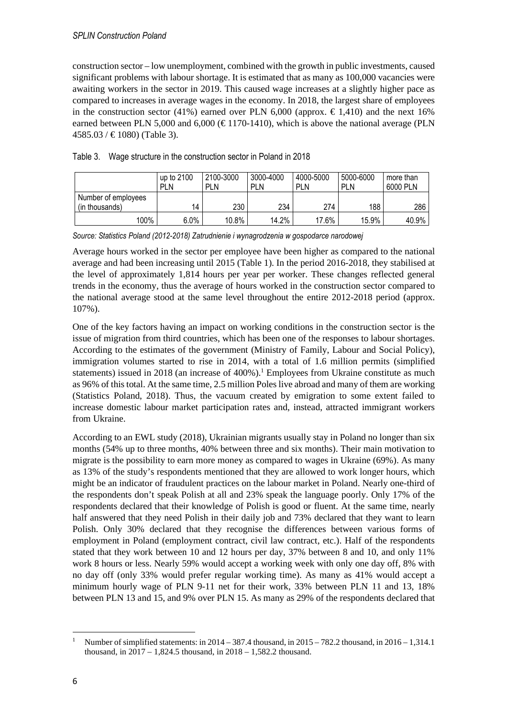construction sector – low unemployment, combined with the growth in public investments, caused significant problems with labour shortage. It is estimated that as many as 100,000 vacancies were awaiting workers in the sector in 2019. This caused wage increases at a slightly higher pace as compared to increases in average wages in the economy. In 2018, the largest share of employees in the construction sector (41%) earned over PLN 6,000 (approx.  $\in$  1,410) and the next 16% earned between PLN 5,000 and 6,000 ( $\in$  1170-1410), which is above the national average (PLN  $4585.03 / \in 1080$  (Table 3).

|                     | up to 2100<br><b>PLN</b> | 2100-3000<br><b>PLN</b> | 3000-4000<br><b>PLN</b> | 4000-5000<br><b>PLN</b> | 5000-6000<br><b>PLN</b> | more than<br>6000 PLN |
|---------------------|--------------------------|-------------------------|-------------------------|-------------------------|-------------------------|-----------------------|
| Number of employees | 14                       |                         | 234                     | 274                     |                         |                       |
| (in thousands)      |                          | 230                     |                         |                         | 188                     | 286                   |
| 100%                | $6.0\%$                  | 10.8%                   | 14.2%                   | 17.6%                   | 15.9%                   | 40.9%                 |

| Table 3. Wage structure in the construction sector in Poland in 2018 |  |  |
|----------------------------------------------------------------------|--|--|
|                                                                      |  |  |

*Source: Statistics Poland (2012-2018) Zatrudnienie i wynagrodzenia w gospodarce narodowej* 

Average hours worked in the sector per employee have been higher as compared to the national average and had been increasing until 2015 (Table 1). In the period 2016-2018, they stabilised at the level of approximately 1,814 hours per year per worker. These changes reflected general trends in the economy, thus the average of hours worked in the construction sector compared to the national average stood at the same level throughout the entire 2012-2018 period (approx. 107%).

One of the key factors having an impact on working conditions in the construction sector is the issue of migration from third countries, which has been one of the responses to labour shortages. According to the estimates of the government (Ministry of Family, Labour and Social Policy), immigration volumes started to rise in 2014, with a total of 1.6 million permits (simplified statements) issued in 2018 (an increase of  $400\%$ ).<sup>1</sup> Employees from Ukraine constitute as much as 96% of this total. At the same time, 2.5 million Poles live abroad and many of them are working (Statistics Poland, 2018). Thus, the vacuum created by emigration to some extent failed to increase domestic labour market participation rates and, instead, attracted immigrant workers from Ukraine.

According to an EWL study (2018), Ukrainian migrants usually stay in Poland no longer than six months (54% up to three months, 40% between three and six months). Their main motivation to migrate is the possibility to earn more money as compared to wages in Ukraine (69%). As many as 13% of the study's respondents mentioned that they are allowed to work longer hours, which might be an indicator of fraudulent practices on the labour market in Poland. Nearly one-third of the respondents don't speak Polish at all and 23% speak the language poorly. Only 17% of the respondents declared that their knowledge of Polish is good or fluent. At the same time, nearly half answered that they need Polish in their daily job and 73% declared that they want to learn Polish. Only 30% declared that they recognise the differences between various forms of employment in Poland (employment contract, civil law contract, etc.). Half of the respondents stated that they work between 10 and 12 hours per day, 37% between 8 and 10, and only 11% work 8 hours or less. Nearly 59% would accept a working week with only one day off, 8% with no day off (only 33% would prefer regular working time). As many as 41% would accept a minimum hourly wage of PLN 9-11 net for their work, 33% between PLN 11 and 13, 18% between PLN 13 and 15, and 9% over PLN 15. As many as 29% of the respondents declared that

<sup>1</sup> Number of simplified statements: in 2014 – 387.4 thousand, in 2015 – 782.2 thousand, in 2016 – 1,314.1 thousand, in  $2017 - 1.824.5$  thousand, in  $2018 - 1.582.2$  thousand.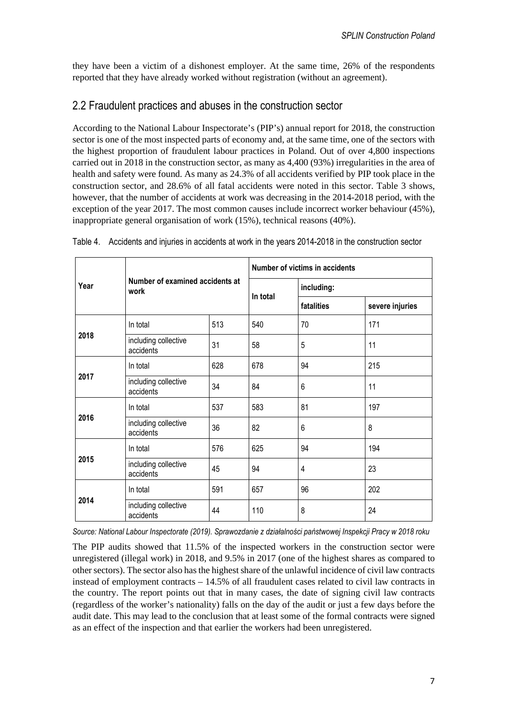they have been a victim of a dishonest employer. At the same time, 26% of the respondents reported that they have already worked without registration (without an agreement).

### 2.2 Fraudulent practices and abuses in the construction sector

According to the National Labour Inspectorate's (PIP's) annual report for 2018, the construction sector is one of the most inspected parts of economy and, at the same time, one of the sectors with the highest proportion of fraudulent labour practices in Poland. Out of over 4,800 inspections carried out in 2018 in the construction sector, as many as 4,400 (93%) irregularities in the area of health and safety were found. As many as 24.3% of all accidents verified by PIP took place in the construction sector, and 28.6% of all fatal accidents were noted in this sector. Table 3 shows, however, that the number of accidents at work was decreasing in the 2014-2018 period, with the exception of the year 2017. The most common causes include incorrect worker behaviour (45%), inappropriate general organisation of work (15%), technical reasons (40%).

|      | Number of examined accidents at<br>work |     | Number of victims in accidents |                |                 |  |
|------|-----------------------------------------|-----|--------------------------------|----------------|-----------------|--|
| Year |                                         |     | In total                       | including:     |                 |  |
|      |                                         |     |                                | fatalities     | severe injuries |  |
|      | In total                                | 513 | 540                            | 70             | 171             |  |
| 2018 | including collective<br>accidents       | 31  | 58                             | 5              | 11              |  |
|      | In total                                | 628 | 678                            | 94             | 215             |  |
| 2017 | including collective<br>accidents       | 34  | 84                             | $6\phantom{1}$ | 11              |  |
|      | In total                                | 537 | 583                            | 81             | 197             |  |
| 2016 | including collective<br>accidents       | 36  | 82                             | 6              | 8               |  |
|      | In total                                | 576 | 625                            | 94             | 194             |  |
| 2015 | including collective<br>accidents       | 45  | 94                             | $\overline{4}$ | 23              |  |
|      | In total                                | 591 | 657                            | 96             | 202             |  |
| 2014 | including collective<br>44<br>accidents |     | 110                            | 8              | 24              |  |

Table 4. Accidents and injuries in accidents at work in the years 2014-2018 in the construction sector

*Source: National Labour Inspectorate (2019). Sprawozdanie z działalności państwowej Inspekcji Pracy w 2018 roku* 

The PIP audits showed that 11.5% of the inspected workers in the construction sector were unregistered (illegal work) in 2018, and 9.5% in 2017 (one of the highest shares as compared to other sectors). The sector also has the highest share of the unlawful incidence of civil law contracts instead of employment contracts – 14.5% of all fraudulent cases related to civil law contracts in the country. The report points out that in many cases, the date of signing civil law contracts (regardless of the worker's nationality) falls on the day of the audit or just a few days before the audit date. This may lead to the conclusion that at least some of the formal contracts were signed as an effect of the inspection and that earlier the workers had been unregistered.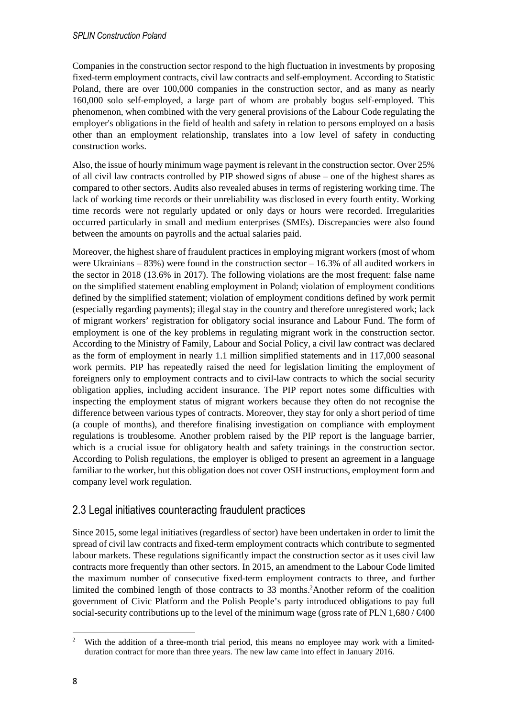Companies in the construction sector respond to the high fluctuation in investments by proposing fixed-term employment contracts, civil law contracts and self-employment. According to Statistic Poland, there are over 100,000 companies in the construction sector, and as many as nearly 160,000 solo self-employed, a large part of whom are probably bogus self-employed. This phenomenon, when combined with the very general provisions of the Labour Code regulating the employer's obligations in the field of health and safety in relation to persons employed on a basis other than an employment relationship, translates into a low level of safety in conducting construction works.

Also, the issue of hourly minimum wage payment is relevant in the construction sector. Over 25% of all civil law contracts controlled by PIP showed signs of abuse – one of the highest shares as compared to other sectors. Audits also revealed abuses in terms of registering working time. The lack of working time records or their unreliability was disclosed in every fourth entity. Working time records were not regularly updated or only days or hours were recorded. Irregularities occurred particularly in small and medium enterprises (SMEs). Discrepancies were also found between the amounts on payrolls and the actual salaries paid.

Moreover, the highest share of fraudulent practices in employing migrant workers (most of whom were Ukrainians  $-83%$ ) were found in the construction sector  $-16.3%$  of all audited workers in the sector in 2018 (13.6% in 2017). The following violations are the most frequent: false name on the simplified statement enabling employment in Poland; violation of employment conditions defined by the simplified statement; violation of employment conditions defined by work permit (especially regarding payments); illegal stay in the country and therefore unregistered work; lack of migrant workers' registration for obligatory social insurance and Labour Fund. The form of employment is one of the key problems in regulating migrant work in the construction sector. According to the Ministry of Family, Labour and Social Policy, a civil law contract was declared as the form of employment in nearly 1.1 million simplified statements and in 117,000 seasonal work permits. PIP has repeatedly raised the need for legislation limiting the employment of foreigners only to employment contracts and to civil-law contracts to which the social security obligation applies, including accident insurance. The PIP report notes some difficulties with inspecting the employment status of migrant workers because they often do not recognise the difference between various types of contracts. Moreover, they stay for only a short period of time (a couple of months), and therefore finalising investigation on compliance with employment regulations is troublesome. Another problem raised by the PIP report is the language barrier, which is a crucial issue for obligatory health and safety trainings in the construction sector. According to Polish regulations, the employer is obliged to present an agreement in a language familiar to the worker, but this obligation does not cover OSH instructions, employment form and company level work regulation.

### 2.3 Legal initiatives counteracting fraudulent practices

Since 2015, some legal initiatives (regardless of sector) have been undertaken in order to limit the spread of civil law contracts and fixed-term employment contracts which contribute to segmented labour markets. These regulations significantly impact the construction sector as it uses civil law contracts more frequently than other sectors. In 2015, an amendment to the Labour Code limited the maximum number of consecutive fixed-term employment contracts to three, and further limited the combined length of those contracts to 33 months.<sup>2</sup>Another reform of the coalition government of Civic Platform and the Polish People's party introduced obligations to pay full social-security contributions up to the level of the minimum wage (gross rate of PLN 1,680/ $\in$ 400

<sup>2</sup> With the addition of a three-month trial period, this means no employee may work with a limitedduration contract for more than three years. The new law came into effect in January 2016.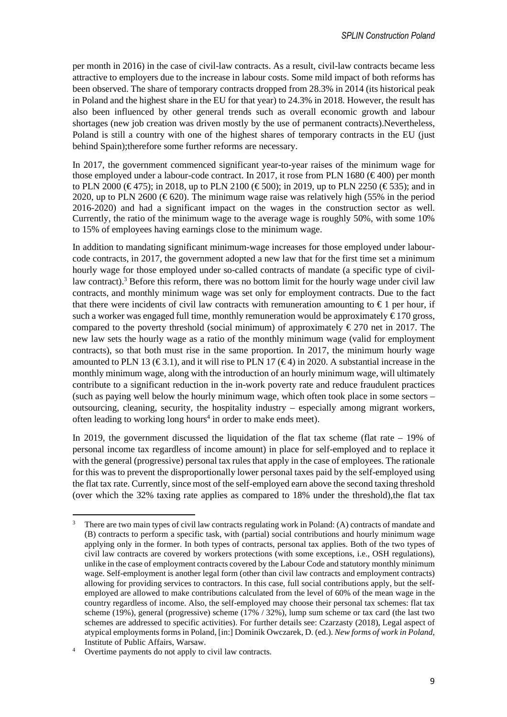per month in 2016) in the case of civil-law contracts. As a result, civil-law contracts became less attractive to employers due to the increase in labour costs. Some mild impact of both reforms has been observed. The share of temporary contracts dropped from 28.3% in 2014 (its historical peak in Poland and the highest share in the EU for that year) to 24.3% in 2018. However, the result has also been influenced by other general trends such as overall economic growth and labour shortages (new job creation was driven mostly by the use of permanent contracts).Nevertheless, Poland is still a country with one of the highest shares of temporary contracts in the EU (just behind Spain);therefore some further reforms are necessary.

In 2017, the government commenced significant year-to-year raises of the minimum wage for those employed under a labour-code contract. In 2017, it rose from PLN 1680 ( $\in$  400) per month to PLN 2000 ( $\in$  475); in 2018, up to PLN 2100 ( $\in$  500); in 2019, up to PLN 2250 ( $\in$  535); and in 2020, up to PLN 2600 ( $\in$  620). The minimum wage raise was relatively high (55% in the period 2016-2020) and had a significant impact on the wages in the construction sector as well. Currently, the ratio of the minimum wage to the average wage is roughly 50%, with some 10% to 15% of employees having earnings close to the minimum wage.

In addition to mandating significant minimum-wage increases for those employed under labourcode contracts, in 2017, the government adopted a new law that for the first time set a minimum hourly wage for those employed under so-called contracts of mandate (a specific type of civillaw contract).<sup>3</sup> Before this reform, there was no bottom limit for the hourly wage under civil law contracts, and monthly minimum wage was set only for employment contracts. Due to the fact that there were incidents of civil law contracts with remuneration amounting to  $\epsilon$  1 per hour, if such a worker was engaged full time, monthly remuneration would be approximately  $\epsilon$  170 gross, compared to the poverty threshold (social minimum) of approximately  $\epsilon$  270 net in 2017. The new law sets the hourly wage as a ratio of the monthly minimum wage (valid for employment contracts), so that both must rise in the same proportion. In 2017, the minimum hourly wage amounted to PLN 13 ( $\in$  3.1), and it will rise to PLN17 ( $\in$  4) in 2020. A substantial increase in the monthly minimum wage, along with the introduction of an hourly minimum wage, will ultimately contribute to a significant reduction in the in-work poverty rate and reduce fraudulent practices (such as paying well below the hourly minimum wage, which often took place in some sectors – outsourcing, cleaning, security, the hospitality industry – especially among migrant workers, often leading to working long hours<sup>4</sup> in order to make ends meet).

In 2019, the government discussed the liquidation of the flat tax scheme (flat rate – 19% of personal income tax regardless of income amount) in place for self-employed and to replace it with the general (progressive) personal tax rules that apply in the case of employees. The rationale for this was to prevent the disproportionally lower personal taxes paid by the self-employed using the flat tax rate. Currently, since most of the self-employed earn above the second taxing threshold (over which the 32% taxing rate applies as compared to 18% under the threshold),the flat tax

<sup>3</sup> There are two main types of civil law contracts regulating work in Poland: (A) contracts of mandate and (B) contracts to perform a specific task, with (partial) social contributions and hourly minimum wage applying only in the former. In both types of contracts, personal tax applies. Both of the two types of civil law contracts are covered by workers protections (with some exceptions, i.e., OSH regulations), unlike in the case of employment contracts covered by the Labour Code and statutory monthly minimum wage. Self-employment is another legal form (other than civil law contracts and employment contracts) allowing for providing services to contractors. In this case, full social contributions apply, but the selfemployed are allowed to make contributions calculated from the level of 60% of the mean wage in the country regardless of income. Also, the self-employed may choose their personal tax schemes: flat tax scheme (19%), general (progressive) scheme (17% / 32%), lump sum scheme or tax card (the last two schemes are addressed to specific activities). For further details see: Czarzasty (2018), Legal aspect of atypical employments forms in Poland, [in:] Dominik Owczarek, D. (ed.). *New forms of work in Poland*, Institute of Public Affairs, Warsaw.

<sup>4</sup> Overtime payments do not apply to civil law contracts.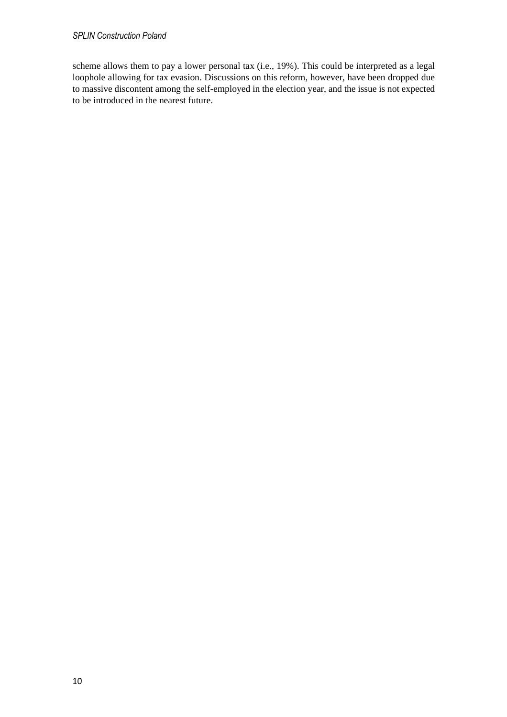#### *SPLIN Construction Poland*

scheme allows them to pay a lower personal tax (i.e., 19%). This could be interpreted as a legal loophole allowing for tax evasion. Discussions on this reform, however, have been dropped due to massive discontent among the self-employed in the election year, and the issue is not expected to be introduced in the nearest future.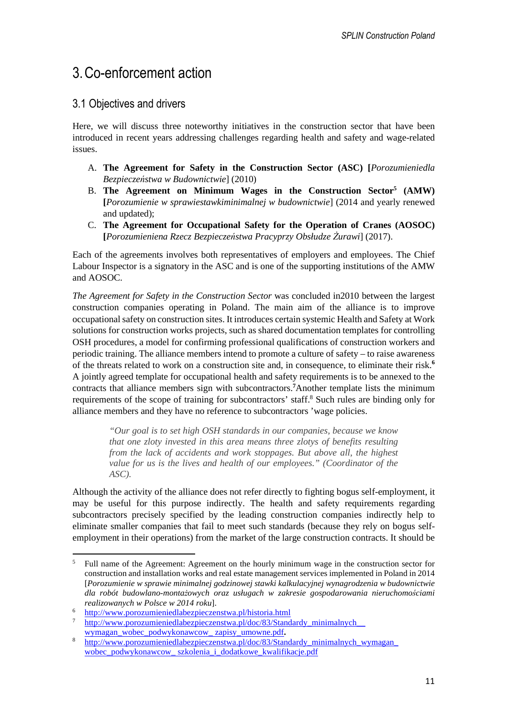# 3.Co-enforcement action

### 3.1 Objectives and drivers

Here, we will discuss three noteworthy initiatives in the construction sector that have been introduced in recent years addressing challenges regarding health and safety and wage-related issues.

- A. **The Agreement for Safety in the Construction Sector (ASC) [***Porozumieniedla Bezpieczeństwa w Budownictwie*] (2010)
- B. **The Agreement on Minimum Wages in the Construction Sector<sup>5</sup> (AMW) [***Porozumienie w sprawiestawkiminimalnej w budownictwie*] (2014 and yearly renewed and updated);
- C. **The Agreement for Occupational Safety for the Operation of Cranes (AOSOC) [***Porozumieniena Rzecz Bezpieczeństwa Pracyprzy Obsłudze Żurawi*] (2017).

Each of the agreements involves both representatives of employers and employees. The Chief Labour Inspector is a signatory in the ASC and is one of the supporting institutions of the AMW and AOSOC.

*The Agreement for Safety in the Construction Sector* was concluded in2010 between the largest construction companies operating in Poland. The main aim of the alliance is to improve occupational safety on construction sites. It introduces certain systemic Health and Safety at Work solutions for construction works projects, such as shared documentation templates for controlling OSH procedures, a model for confirming professional qualifications of construction workers and periodic training. The alliance members intend to promote a culture of safety – to raise awareness of the threats related to work on a construction site and, in consequence, to eliminate their risk.**<sup>6</sup>** A jointly agreed template for occupational health and safety requirements is to be annexed to the contracts that alliance members sign with subcontractors.**<sup>7</sup>**Another template lists the minimum requirements of the scope of training for subcontractors' staff.<sup>8</sup> Such rules are binding only for alliance members and they have no reference to subcontractors 'wage policies.

*"Our goal is to set high OSH standards in our companies, because we know that one zloty invested in this area means three zlotys of benefits resulting from the lack of accidents and work stoppages. But above all, the highest value for us is the lives and health of our employees." (Coordinator of the ASC).* 

Although the activity of the alliance does not refer directly to fighting bogus self-employment, it may be useful for this purpose indirectly. The health and safety requirements regarding subcontractors precisely specified by the leading construction companies indirectly help to eliminate smaller companies that fail to meet such standards (because they rely on bogus selfemployment in their operations) from the market of the large construction contracts. It should be

<sup>5</sup> Full name of the Agreement: Agreement on the hourly minimum wage in the construction sector for construction and installation works and real estate management services implemented in Poland in 2014 [*Porozumienie w sprawie minimalnej godzinowej stawki kalkulacyjnej wynagrodzenia w budownictwie dla robót budowlano-montażowych oraz usługach w zakresie gospodarowania nieruchomościami realizowanych w Polsce w 2014 roku*].

<sup>&</sup>lt;sup>6</sup> http://www.porozumieniedlabezpieczenstwa.pl/historia.html<br>7 http://www.porozumieniedlabezpieczenstwa.pl/dee/82/Stand

http://www.porozumieniedlabezpieczenstwa.pl/doc/83/Standardy\_minimalnych\_ wymagan\_wobec\_podwykonawcow\_ zapisy\_umowne.pdf**.**

<sup>8</sup> http://www.porozumieniedlabezpieczenstwa.pl/doc/83/Standardy\_minimalnych\_wymagan\_ wobec podwykonawcow szkolenia i dodatkowe kwalifikacje.pdf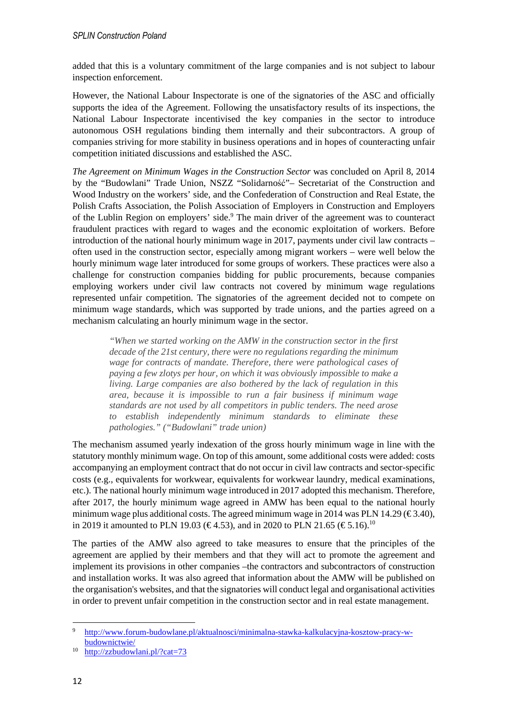added that this is a voluntary commitment of the large companies and is not subject to labour inspection enforcement.

However, the National Labour Inspectorate is one of the signatories of the ASC and officially supports the idea of the Agreement. Following the unsatisfactory results of its inspections, the National Labour Inspectorate incentivised the key companies in the sector to introduce autonomous OSH regulations binding them internally and their subcontractors. A group of companies striving for more stability in business operations and in hopes of counteracting unfair competition initiated discussions and established the ASC.

*The Agreement on Minimum Wages in the Construction Sector* was concluded on April 8, 2014 by the "Budowlani" Trade Union, NSZZ "Solidarność"– Secretariat of the Construction and Wood Industry on the workers' side, and the Confederation of Construction and Real Estate, the Polish Crafts Association, the Polish Association of Employers in Construction and Employers of the Lublin Region on employers' side.<sup>9</sup> The main driver of the agreement was to counteract fraudulent practices with regard to wages and the economic exploitation of workers. Before introduction of the national hourly minimum wage in 2017, payments under civil law contracts – often used in the construction sector, especially among migrant workers – were well below the hourly minimum wage later introduced for some groups of workers. These practices were also a challenge for construction companies bidding for public procurements, because companies employing workers under civil law contracts not covered by minimum wage regulations represented unfair competition. The signatories of the agreement decided not to compete on minimum wage standards, which was supported by trade unions, and the parties agreed on a mechanism calculating an hourly minimum wage in the sector.

*"When we started working on the AMW in the construction sector in the first decade of the 21st century, there were no regulations regarding the minimum wage for contracts of mandate. Therefore, there were pathological cases of paying a few zlotys per hour, on which it was obviously impossible to make a living. Large companies are also bothered by the lack of regulation in this area, because it is impossible to run a fair business if minimum wage standards are not used by all competitors in public tenders. The need arose to establish independently minimum standards to eliminate these pathologies." ("Budowlani" trade union)* 

The mechanism assumed yearly indexation of the gross hourly minimum wage in line with the statutory monthly minimum wage. On top of this amount, some additional costs were added: costs accompanying an employment contract that do not occur in civil law contracts and sector-specific costs (e.g., equivalents for workwear, equivalents for workwear laundry, medical examinations, etc.). The national hourly minimum wage introduced in 2017 adopted this mechanism. Therefore, after 2017, the hourly minimum wage agreed in AMW has been equal to the national hourly minimum wage plus additional costs. The agreed minimum wage in 2014 was PLN 14.29 ( $\in$  3.40), in 2019 it amounted to PLN 19.03 ( $\in$  4.53), and in 2020 to PLN 21.65 ( $\in$  5.16).<sup>10</sup>

The parties of the AMW also agreed to take measures to ensure that the principles of the agreement are applied by their members and that they will act to promote the agreement and implement its provisions in other companies –the contractors and subcontractors of construction and installation works. It was also agreed that information about the AMW will be published on the organisation's websites, and that the signatories will conduct legal and organisational activities in order to prevent unfair competition in the construction sector and in real estate management.

<sup>9</sup> http://www.forum-budowlane.pl/aktualnosci/minimalna-stawka-kalkulacyjna-kosztow-pracy-wbudownictwie/

<sup>10</sup> http://zzbudowlani.pl/?cat=73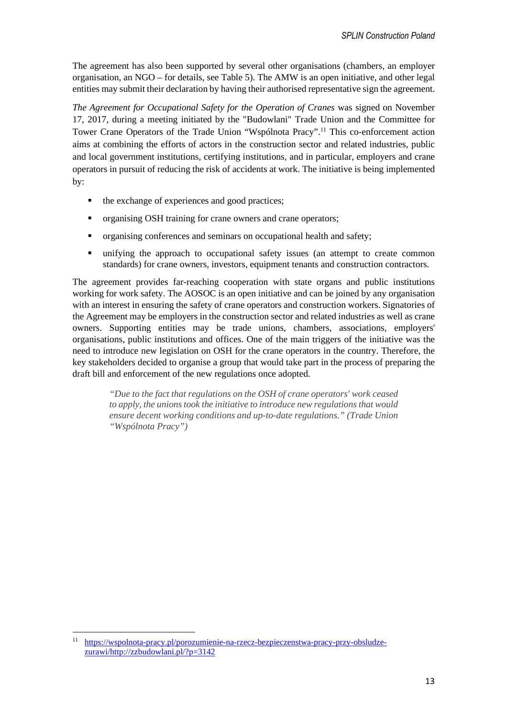The agreement has also been supported by several other organisations (chambers, an employer organisation, an NGO – for details, see Table 5). The AMW is an open initiative, and other legal entities may submit their declaration by having their authorised representative sign the agreement.

*The Agreement for Occupational Safety for the Operation of Cranes* was signed on November 17, 2017, during a meeting initiated by the "Budowlani" Trade Union and the Committee for Tower Crane Operators of the Trade Union "Wspólnota Pracy".<sup>11</sup> This co-enforcement action aims at combining the efforts of actors in the construction sector and related industries, public and local government institutions, certifying institutions, and in particular, employers and crane operators in pursuit of reducing the risk of accidents at work. The initiative is being implemented by:

- $\blacksquare$  the exchange of experiences and good practices;
- organising OSH training for crane owners and crane operators;
- organising conferences and seminars on occupational health and safety;
- unifying the approach to occupational safety issues (an attempt to create common standards) for crane owners, investors, equipment tenants and construction contractors.

The agreement provides far-reaching cooperation with state organs and public institutions working for work safety. The AOSOC is an open initiative and can be joined by any organisation with an interest in ensuring the safety of crane operators and construction workers. Signatories of the Agreement may be employers in the construction sector and related industries as well as crane owners. Supporting entities may be trade unions, chambers, associations, employers' organisations, public institutions and offices. One of the main triggers of the initiative was the need to introduce new legislation on OSH for the crane operators in the country. Therefore, the key stakeholders decided to organise a group that would take part in the process of preparing the draft bill and enforcement of the new regulations once adopted.

> *"Due to the fact that regulations on the OSH of crane operators' work ceased to apply, the unions took the initiative to introduce new regulations that would ensure decent working conditions and up-to-date regulations." (Trade Union "Wspólnota Pracy")*

<sup>11</sup> https://wspolnota-pracy.pl/porozumienie-na-rzecz-bezpieczenstwa-pracy-przy-obsludzezurawi/http://zzbudowlani.pl/?p=3142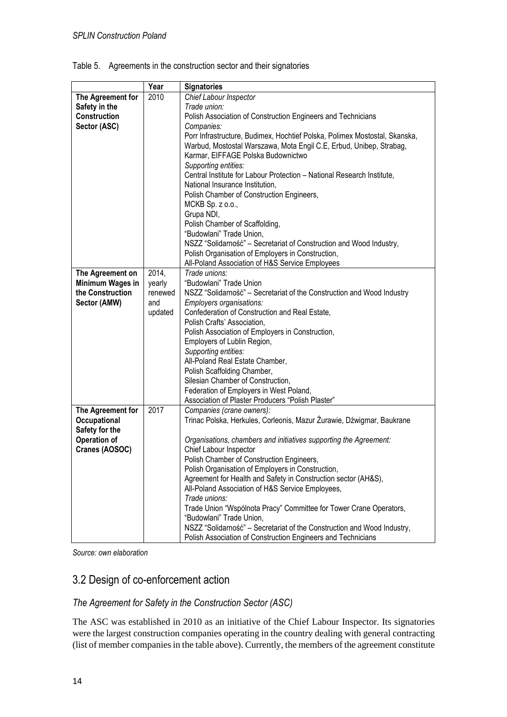|                   | Year    | <b>Signatories</b>                                                         |
|-------------------|---------|----------------------------------------------------------------------------|
| The Agreement for | 2010    | Chief Labour Inspector                                                     |
| Safety in the     |         | Trade union:                                                               |
| Construction      |         | Polish Association of Construction Engineers and Technicians               |
| Sector (ASC)      |         | Companies:                                                                 |
|                   |         | Porr Infrastructure, Budimex, Hochtief Polska, Polimex Mostostal, Skanska, |
|                   |         | Warbud, Mostostal Warszawa, Mota Engil C.E, Erbud, Unibep, Strabag,        |
|                   |         | Karmar, EIFFAGE Polska Budownictwo                                         |
|                   |         | Supporting entities:                                                       |
|                   |         | Central Institute for Labour Protection - National Research Institute,     |
|                   |         | National Insurance Institution,                                            |
|                   |         | Polish Chamber of Construction Engineers,                                  |
|                   |         | MCKB Sp. $z$ o.o.,                                                         |
|                   |         | Grupa NDI,                                                                 |
|                   |         | Polish Chamber of Scaffolding,                                             |
|                   |         | "Budowlani" Trade Union,                                                   |
|                   |         | NSZZ "Solidarność" - Secretariat of Construction and Wood Industry,        |
|                   |         | Polish Organisation of Employers in Construction,                          |
|                   |         | All-Poland Association of H&S Service Employees                            |
| The Agreement on  | 2014,   | Trade unions:                                                              |
| Minimum Wages in  | yearly  | "Budowlani" Trade Union                                                    |
| the Construction  | renewed | NSZZ "Solidarność" - Secretariat of the Construction and Wood Industry     |
| Sector (AMW)      | and     | Employers organisations:                                                   |
|                   | updated | Confederation of Construction and Real Estate,                             |
|                   |         | Polish Crafts' Association,                                                |
|                   |         | Polish Association of Employers in Construction,                           |
|                   |         | Employers of Lublin Region,                                                |
|                   |         | Supporting entities:                                                       |
|                   |         | All-Poland Real Estate Chamber,                                            |
|                   |         | Polish Scaffolding Chamber,                                                |
|                   |         | Silesian Chamber of Construction,                                          |
|                   |         | Federation of Employers in West Poland,                                    |
|                   |         | Association of Plaster Producers "Polish Plaster"                          |
| The Agreement for | 2017    | Companies (crane owners):                                                  |
| Occupational      |         | Trinac Polska, Herkules, Corleonis, Mazur Żurawie, Dźwigmar, Baukrane      |
| Safety for the    |         |                                                                            |
| Operation of      |         | Organisations, chambers and initiatives supporting the Agreement:          |
| Cranes (AOSOC)    |         | Chief Labour Inspector                                                     |
|                   |         | Polish Chamber of Construction Engineers,                                  |
|                   |         | Polish Organisation of Employers in Construction,                          |
|                   |         | Agreement for Health and Safety in Construction sector (AH&S),             |
|                   |         | All-Poland Association of H&S Service Employees,                           |
|                   |         | Trade unions:                                                              |
|                   |         | Trade Union "Wspólnota Pracy" Committee for Tower Crane Operators,         |
|                   |         | "Budowlani" Trade Union,                                                   |
|                   |         | NSZZ "Solidarność" - Secretariat of the Construction and Wood Industry,    |
|                   |         | Polish Association of Construction Engineers and Technicians               |

Table 5. Agreements in the construction sector and their signatories

*Source: own elaboration* 

## 3.2 Design of co-enforcement action

#### *The Agreement for Safety in the Construction Sector (ASC)*

The ASC was established in 2010 as an initiative of the Chief Labour Inspector. Its signatories were the largest construction companies operating in the country dealing with general contracting (list of member companies in the table above). Currently, the members of the agreement constitute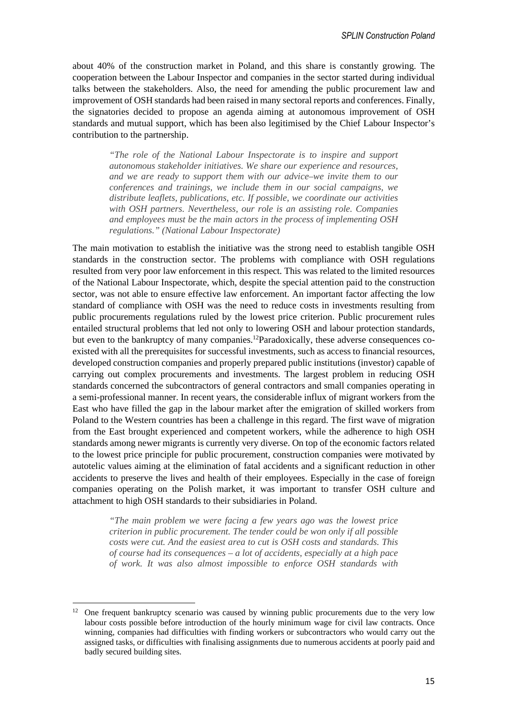about 40% of the construction market in Poland, and this share is constantly growing. The cooperation between the Labour Inspector and companies in the sector started during individual talks between the stakeholders. Also, the need for amending the public procurement law and improvement of OSH standards had been raised in many sectoral reports and conferences. Finally, the signatories decided to propose an agenda aiming at autonomous improvement of OSH standards and mutual support, which has been also legitimised by the Chief Labour Inspector's contribution to the partnership.

*"The role of the National Labour Inspectorate is to inspire and support autonomous stakeholder initiatives. We share our experience and resources, and we are ready to support them with our advice–we invite them to our conferences and trainings, we include them in our social campaigns, we distribute leaflets, publications, etc. If possible, we coordinate our activities with OSH partners. Nevertheless, our role is an assisting role. Companies and employees must be the main actors in the process of implementing OSH regulations." (National Labour Inspectorate)* 

The main motivation to establish the initiative was the strong need to establish tangible OSH standards in the construction sector. The problems with compliance with OSH regulations resulted from very poor law enforcement in this respect. This was related to the limited resources of the National Labour Inspectorate, which, despite the special attention paid to the construction sector, was not able to ensure effective law enforcement. An important factor affecting the low standard of compliance with OSH was the need to reduce costs in investments resulting from public procurements regulations ruled by the lowest price criterion. Public procurement rules entailed structural problems that led not only to lowering OSH and labour protection standards, but even to the bankruptcy of many companies.<sup>12</sup>Paradoxically, these adverse consequences coexisted with all the prerequisites for successful investments, such as access to financial resources, developed construction companies and properly prepared public institutions (investor) capable of carrying out complex procurements and investments. The largest problem in reducing OSH standards concerned the subcontractors of general contractors and small companies operating in a semi-professional manner. In recent years, the considerable influx of migrant workers from the East who have filled the gap in the labour market after the emigration of skilled workers from Poland to the Western countries has been a challenge in this regard. The first wave of migration from the East brought experienced and competent workers, while the adherence to high OSH standards among newer migrants is currently very diverse. On top of the economic factors related to the lowest price principle for public procurement, construction companies were motivated by autotelic values aiming at the elimination of fatal accidents and a significant reduction in other accidents to preserve the lives and health of their employees. Especially in the case of foreign companies operating on the Polish market, it was important to transfer OSH culture and attachment to high OSH standards to their subsidiaries in Poland.

> *"The main problem we were facing a few years ago was the lowest price criterion in public procurement. The tender could be won only if all possible costs were cut. And the easiest area to cut is OSH costs and standards. This of course had its consequences – a lot of accidents, especially at a high pace of work. It was also almost impossible to enforce OSH standards with*

<sup>&</sup>lt;sup>12</sup> One frequent bankruptcy scenario was caused by winning public procurements due to the very low labour costs possible before introduction of the hourly minimum wage for civil law contracts. Once winning, companies had difficulties with finding workers or subcontractors who would carry out the assigned tasks, or difficulties with finalising assignments due to numerous accidents at poorly paid and badly secured building sites.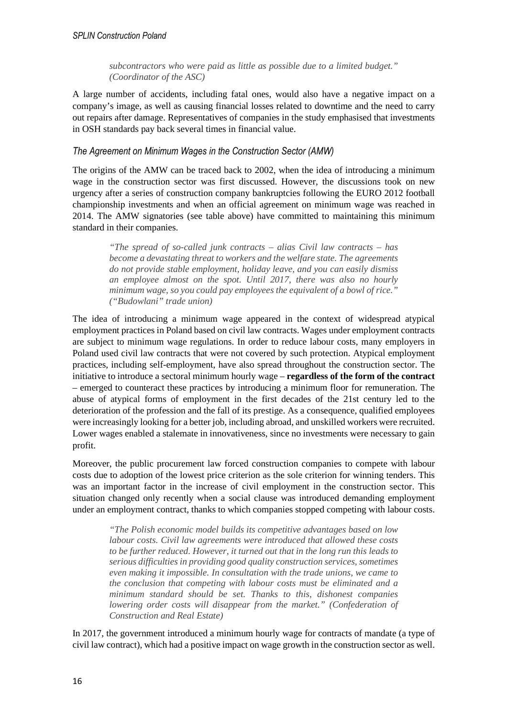*subcontractors who were paid as little as possible due to a limited budget." (Coordinator of the ASC)* 

A large number of accidents, including fatal ones, would also have a negative impact on a company's image, as well as causing financial losses related to downtime and the need to carry out repairs after damage. Representatives of companies in the study emphasised that investments in OSH standards pay back several times in financial value.

#### *The Agreement on Minimum Wages in the Construction Sector (AMW)*

The origins of the AMW can be traced back to 2002, when the idea of introducing a minimum wage in the construction sector was first discussed. However, the discussions took on new urgency after a series of construction company bankruptcies following the EURO 2012 football championship investments and when an official agreement on minimum wage was reached in 2014. The AMW signatories (see table above) have committed to maintaining this minimum standard in their companies.

*"The spread of so-called junk contracts – alias Civil law contracts – has become a devastating threat to workers and the welfare state. The agreements do not provide stable employment, holiday leave, and you can easily dismiss an employee almost on the spot. Until 2017, there was also no hourly minimum wage, so you could pay employees the equivalent of a bowl of rice." ("Budowlani" trade union)*

The idea of introducing a minimum wage appeared in the context of widespread atypical employment practices in Poland based on civil law contracts. Wages under employment contracts are subject to minimum wage regulations. In order to reduce labour costs, many employers in Poland used civil law contracts that were not covered by such protection. Atypical employment practices, including self-employment, have also spread throughout the construction sector. The initiative to introduce a sectoral minimum hourly wage – **regardless of the form of the contract** – emerged to counteract these practices by introducing a minimum floor for remuneration. The abuse of atypical forms of employment in the first decades of the 21st century led to the deterioration of the profession and the fall of its prestige. As a consequence, qualified employees were increasingly looking for a better job, including abroad, and unskilled workers were recruited. Lower wages enabled a stalemate in innovativeness, since no investments were necessary to gain profit.

Moreover, the public procurement law forced construction companies to compete with labour costs due to adoption of the lowest price criterion as the sole criterion for winning tenders. This was an important factor in the increase of civil employment in the construction sector. This situation changed only recently when a social clause was introduced demanding employment under an employment contract, thanks to which companies stopped competing with labour costs.

*"The Polish economic model builds its competitive advantages based on low labour costs. Civil law agreements were introduced that allowed these costs to be further reduced. However, it turned out that in the long run this leads to serious difficulties in providing good quality construction services, sometimes even making it impossible. In consultation with the trade unions, we came to the conclusion that competing with labour costs must be eliminated and a minimum standard should be set. Thanks to this, dishonest companies lowering order costs will disappear from the market." (Confederation of Construction and Real Estate)* 

In 2017, the government introduced a minimum hourly wage for contracts of mandate (a type of civil law contract), which had a positive impact on wage growth in the construction sector as well.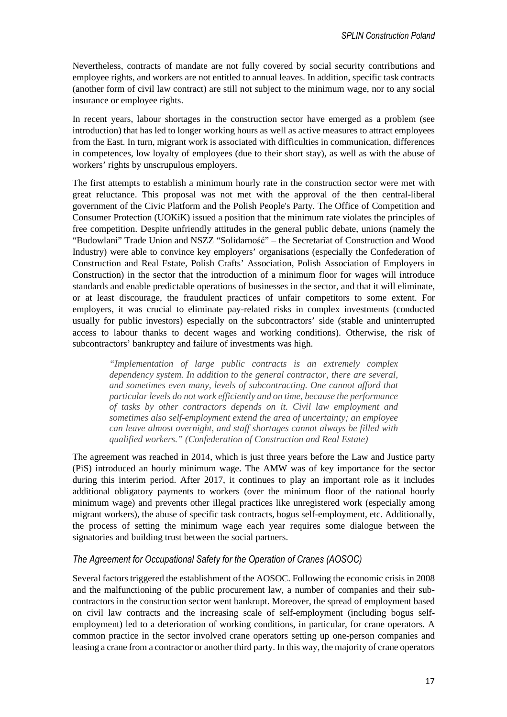Nevertheless, contracts of mandate are not fully covered by social security contributions and employee rights, and workers are not entitled to annual leaves. In addition, specific task contracts (another form of civil law contract) are still not subject to the minimum wage, nor to any social insurance or employee rights.

In recent years, labour shortages in the construction sector have emerged as a problem (see introduction) that has led to longer working hours as well as active measures to attract employees from the East. In turn, migrant work is associated with difficulties in communication, differences in competences, low loyalty of employees (due to their short stay), as well as with the abuse of workers' rights by unscrupulous employers.

The first attempts to establish a minimum hourly rate in the construction sector were met with great reluctance. This proposal was not met with the approval of the then central-liberal government of the Civic Platform and the Polish People's Party. The Office of Competition and Consumer Protection (UOKiK) issued a position that the minimum rate violates the principles of free competition. Despite unfriendly attitudes in the general public debate, unions (namely the "Budowlani" Trade Union and NSZZ "Solidarność" – the Secretariat of Construction and Wood Industry) were able to convince key employers' organisations (especially the Confederation of Construction and Real Estate, Polish Crafts' Association, Polish Association of Employers in Construction) in the sector that the introduction of a minimum floor for wages will introduce standards and enable predictable operations of businesses in the sector, and that it will eliminate, or at least discourage, the fraudulent practices of unfair competitors to some extent. For employers, it was crucial to eliminate pay-related risks in complex investments (conducted usually for public investors) especially on the subcontractors' side (stable and uninterrupted access to labour thanks to decent wages and working conditions). Otherwise, the risk of subcontractors' bankruptcy and failure of investments was high.

*"Implementation of large public contracts is an extremely complex dependency system. In addition to the general contractor, there are several, and sometimes even many, levels of subcontracting. One cannot afford that particular levels do not work efficiently and on time, because the performance of tasks by other contractors depends on it. Civil law employment and sometimes also self-employment extend the area of uncertainty; an employee can leave almost overnight, and staff shortages cannot always be filled with qualified workers." (Confederation of Construction and Real Estate)* 

The agreement was reached in 2014, which is just three years before the Law and Justice party (PiS) introduced an hourly minimum wage. The AMW was of key importance for the sector during this interim period. After 2017, it continues to play an important role as it includes additional obligatory payments to workers (over the minimum floor of the national hourly minimum wage) and prevents other illegal practices like unregistered work (especially among migrant workers), the abuse of specific task contracts, bogus self-employment, etc. Additionally, the process of setting the minimum wage each year requires some dialogue between the signatories and building trust between the social partners.

#### *The Agreement for Occupational Safety for the Operation of Cranes (AOSOC)*

Several factors triggered the establishment of the AOSOC. Following the economic crisis in 2008 and the malfunctioning of the public procurement law, a number of companies and their subcontractors in the construction sector went bankrupt. Moreover, the spread of employment based on civil law contracts and the increasing scale of self-employment (including bogus selfemployment) led to a deterioration of working conditions, in particular, for crane operators. A common practice in the sector involved crane operators setting up one-person companies and leasing a crane from a contractor or another third party. In this way, the majority of crane operators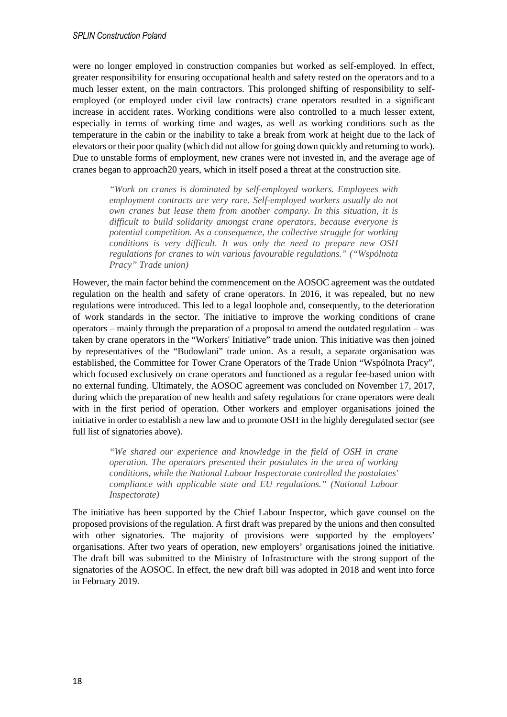were no longer employed in construction companies but worked as self-employed. In effect, greater responsibility for ensuring occupational health and safety rested on the operators and to a much lesser extent, on the main contractors. This prolonged shifting of responsibility to selfemployed (or employed under civil law contracts) crane operators resulted in a significant increase in accident rates. Working conditions were also controlled to a much lesser extent, especially in terms of working time and wages, as well as working conditions such as the temperature in the cabin or the inability to take a break from work at height due to the lack of elevators or their poor quality (which did not allow for going down quickly and returning to work). Due to unstable forms of employment, new cranes were not invested in, and the average age of cranes began to approach20 years, which in itself posed a threat at the construction site.

*"Work on cranes is dominated by self-employed workers. Employees with employment contracts are very rare. Self-employed workers usually do not own cranes but lease them from another company. In this situation, it is difficult to build solidarity amongst crane operators, because everyone is potential competition. As a consequence, the collective struggle for working conditions is very difficult. It was only the need to prepare new OSH regulations for cranes to win various favourable regulations." ("Wspólnota Pracy" Trade union)* 

However, the main factor behind the commencement on the AOSOC agreement was the outdated regulation on the health and safety of crane operators. In 2016, it was repealed, but no new regulations were introduced. This led to a legal loophole and, consequently, to the deterioration of work standards in the sector. The initiative to improve the working conditions of crane operators – mainly through the preparation of a proposal to amend the outdated regulation – was taken by crane operators in the "Workers' Initiative" trade union. This initiative was then joined by representatives of the "Budowlani" trade union. As a result, a separate organisation was established, the Committee for Tower Crane Operators of the Trade Union "Wspólnota Pracy", which focused exclusively on crane operators and functioned as a regular fee-based union with no external funding. Ultimately, the AOSOC agreement was concluded on November 17, 2017, during which the preparation of new health and safety regulations for crane operators were dealt with in the first period of operation. Other workers and employer organisations joined the initiative in order to establish a new law and to promote OSH in the highly deregulated sector (see full list of signatories above).

*"We shared our experience and knowledge in the field of OSH in crane operation. The operators presented their postulates in the area of working conditions, while the National Labour Inspectorate controlled the postulates' compliance with applicable state and EU regulations." (National Labour Inspectorate)* 

The initiative has been supported by the Chief Labour Inspector, which gave counsel on the proposed provisions of the regulation. A first draft was prepared by the unions and then consulted with other signatories. The majority of provisions were supported by the employers' organisations. After two years of operation, new employers' organisations joined the initiative. The draft bill was submitted to the Ministry of Infrastructure with the strong support of the signatories of the AOSOC. In effect, the new draft bill was adopted in 2018 and went into force in February 2019.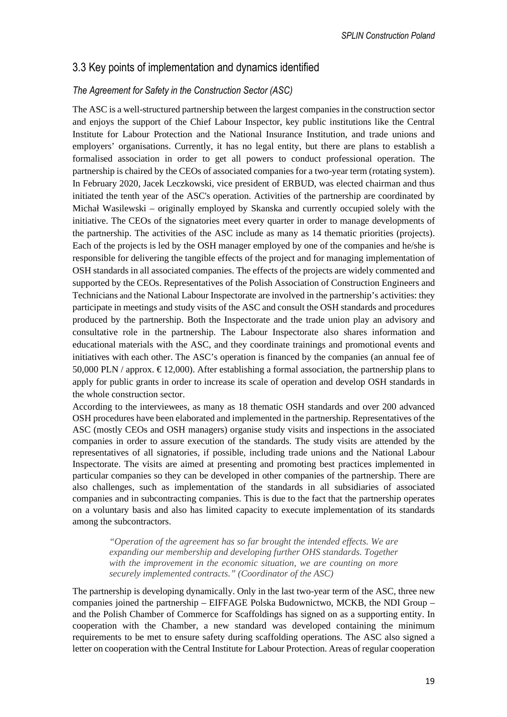### 3.3 Key points of implementation and dynamics identified

#### *The Agreement for Safety in the Construction Sector (ASC)*

The ASC is a well-structured partnership between the largest companies in the construction sector and enjoys the support of the Chief Labour Inspector, key public institutions like the Central Institute for Labour Protection and the National Insurance Institution, and trade unions and employers' organisations. Currently, it has no legal entity, but there are plans to establish a formalised association in order to get all powers to conduct professional operation. The partnership is chaired by the CEOs of associated companies for a two-year term (rotating system). In February 2020, Jacek Leczkowski, vice president of ERBUD, was elected chairman and thus initiated the tenth year of the ASC's operation. Activities of the partnership are coordinated by Michał Wasilewski – originally employed by Skanska and currently occupied solely with the initiative. The CEOs of the signatories meet every quarter in order to manage developments of the partnership. The activities of the ASC include as many as 14 thematic priorities (projects). Each of the projects is led by the OSH manager employed by one of the companies and he/she is responsible for delivering the tangible effects of the project and for managing implementation of OSH standards in all associated companies. The effects of the projects are widely commented and supported by the CEOs. Representatives of the Polish Association of Construction Engineers and Technicians and the National Labour Inspectorate are involved in the partnership's activities: they participate in meetings and study visits of the ASC and consult the OSH standards and procedures produced by the partnership. Both the Inspectorate and the trade union play an advisory and consultative role in the partnership. The Labour Inspectorate also shares information and educational materials with the ASC, and they coordinate trainings and promotional events and initiatives with each other. The ASC's operation is financed by the companies (an annual fee of 50,000 PLN / approx.  $\epsilon$  12,000). After establishing a formal association, the partnership plans to apply for public grants in order to increase its scale of operation and develop OSH standards in the whole construction sector.

According to the interviewees, as many as 18 thematic OSH standards and over 200 advanced OSH procedures have been elaborated and implemented in the partnership. Representatives of the ASC (mostly CEOs and OSH managers) organise study visits and inspections in the associated companies in order to assure execution of the standards. The study visits are attended by the representatives of all signatories, if possible, including trade unions and the National Labour Inspectorate. The visits are aimed at presenting and promoting best practices implemented in particular companies so they can be developed in other companies of the partnership. There are also challenges, such as implementation of the standards in all subsidiaries of associated companies and in subcontracting companies. This is due to the fact that the partnership operates on a voluntary basis and also has limited capacity to execute implementation of its standards among the subcontractors.

*"Operation of the agreement has so far brought the intended effects. We are expanding our membership and developing further OHS standards. Together with the improvement in the economic situation, we are counting on more securely implemented contracts." (Coordinator of the ASC)* 

The partnership is developing dynamically. Only in the last two-year term of the ASC, three new companies joined the partnership – EIFFAGE Polska Budownictwo, MCKB, the NDI Group – and the Polish Chamber of Commerce for Scaffoldings has signed on as a supporting entity. In cooperation with the Chamber, a new standard was developed containing the minimum requirements to be met to ensure safety during scaffolding operations. The ASC also signed a letter on cooperation with the Central Institute for Labour Protection. Areas of regular cooperation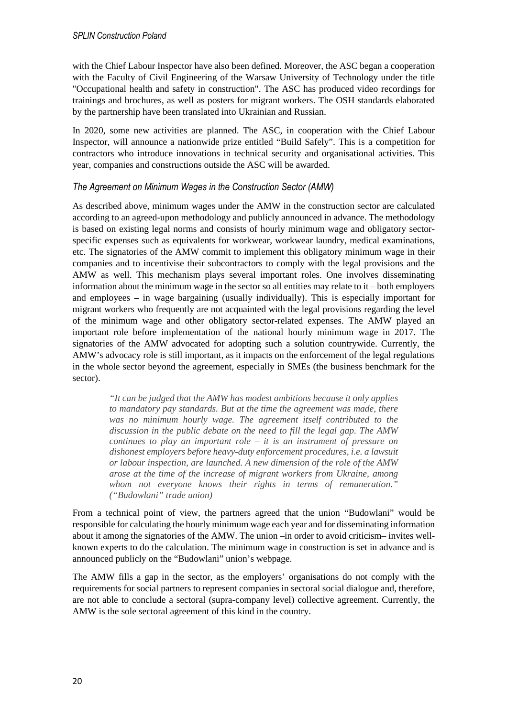with the Chief Labour Inspector have also been defined. Moreover, the ASC began a cooperation with the Faculty of Civil Engineering of the Warsaw University of Technology under the title "Occupational health and safety in construction". The ASC has produced video recordings for trainings and brochures, as well as posters for migrant workers. The OSH standards elaborated by the partnership have been translated into Ukrainian and Russian.

In 2020, some new activities are planned. The ASC, in cooperation with the Chief Labour Inspector, will announce a nationwide prize entitled "Build Safely". This is a competition for contractors who introduce innovations in technical security and organisational activities. This year, companies and constructions outside the ASC will be awarded.

#### *The Agreement on Minimum Wages in the Construction Sector (AMW)*

As described above, minimum wages under the AMW in the construction sector are calculated according to an agreed-upon methodology and publicly announced in advance. The methodology is based on existing legal norms and consists of hourly minimum wage and obligatory sectorspecific expenses such as equivalents for workwear, workwear laundry, medical examinations, etc. The signatories of the AMW commit to implement this obligatory minimum wage in their companies and to incentivise their subcontractors to comply with the legal provisions and the AMW as well. This mechanism plays several important roles. One involves disseminating information about the minimum wage in the sector so all entities may relate to it – both employers and employees – in wage bargaining (usually individually). This is especially important for migrant workers who frequently are not acquainted with the legal provisions regarding the level of the minimum wage and other obligatory sector-related expenses. The AMW played an important role before implementation of the national hourly minimum wage in 2017. The signatories of the AMW advocated for adopting such a solution countrywide. Currently, the AMW's advocacy role is still important, as it impacts on the enforcement of the legal regulations in the whole sector beyond the agreement, especially in SMEs (the business benchmark for the sector).

*"It can be judged that the AMW has modest ambitions because it only applies to mandatory pay standards. But at the time the agreement was made, there was no minimum hourly wage. The agreement itself contributed to the discussion in the public debate on the need to fill the legal gap. The AMW continues to play an important role – it is an instrument of pressure on dishonest employers before heavy-duty enforcement procedures, i.e. a lawsuit or labour inspection, are launched. A new dimension of the role of the AMW arose at the time of the increase of migrant workers from Ukraine, among whom not everyone knows their rights in terms of remuneration." ("Budowlani" trade union)* 

From a technical point of view, the partners agreed that the union "Budowlani" would be responsible for calculating the hourly minimum wage each year and for disseminating information about it among the signatories of the AMW. The union –in order to avoid criticism– invites wellknown experts to do the calculation. The minimum wage in construction is set in advance and is announced publicly on the "Budowlani" union's webpage.

The AMW fills a gap in the sector, as the employers' organisations do not comply with the requirements for social partners to represent companies in sectoral social dialogue and, therefore, are not able to conclude a sectoral (supra-company level) collective agreement. Currently, the AMW is the sole sectoral agreement of this kind in the country.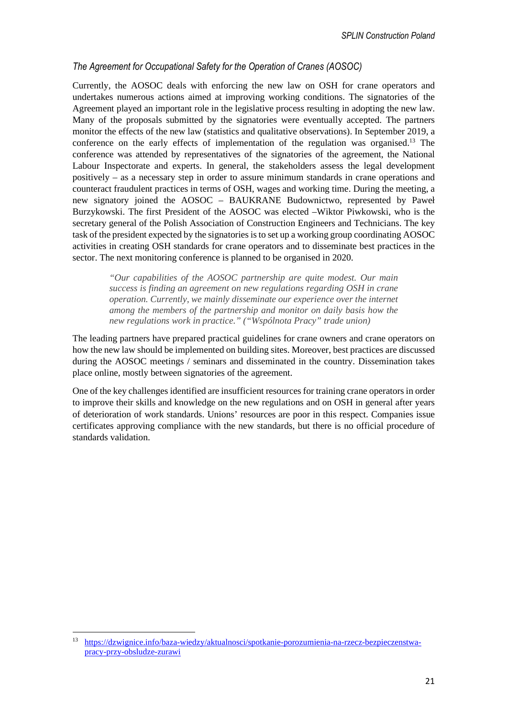#### *The Agreement for Occupational Safety for the Operation of Cranes (AOSOC)*

Currently, the AOSOC deals with enforcing the new law on OSH for crane operators and undertakes numerous actions aimed at improving working conditions. The signatories of the Agreement played an important role in the legislative process resulting in adopting the new law. Many of the proposals submitted by the signatories were eventually accepted. The partners monitor the effects of the new law (statistics and qualitative observations). In September 2019, a conference on the early effects of implementation of the regulation was organised.<sup>13</sup> The conference was attended by representatives of the signatories of the agreement, the National Labour Inspectorate and experts. In general, the stakeholders assess the legal development positively – as a necessary step in order to assure minimum standards in crane operations and counteract fraudulent practices in terms of OSH, wages and working time. During the meeting, a new signatory joined the AOSOC – BAUKRANE Budownictwo, represented by Paweł Burzykowski. The first President of the AOSOC was elected –Wiktor Piwkowski, who is the secretary general of the Polish Association of Construction Engineers and Technicians. The key task of the president expected by the signatories is to set up a working group coordinating AOSOC activities in creating OSH standards for crane operators and to disseminate best practices in the sector. The next monitoring conference is planned to be organised in 2020.

> *"Our capabilities of the AOSOC partnership are quite modest. Our main success is finding an agreement on new regulations regarding OSH in crane operation. Currently, we mainly disseminate our experience over the internet among the members of the partnership and monitor on daily basis how the new regulations work in practice." ("Wspólnota Pracy" trade union)*

The leading partners have prepared practical guidelines for crane owners and crane operators on how the new law should be implemented on building sites. Moreover, best practices are discussed during the AOSOC meetings / seminars and disseminated in the country. Dissemination takes place online, mostly between signatories of the agreement.

One of the key challenges identified are insufficient resources for training crane operators in order to improve their skills and knowledge on the new regulations and on OSH in general after years of deterioration of work standards. Unions' resources are poor in this respect. Companies issue certificates approving compliance with the new standards, but there is no official procedure of standards validation.

<sup>13</sup> https://dzwignice.info/baza-wiedzy/aktualnosci/spotkanie-porozumienia-na-rzecz-bezpieczenstwapracy-przy-obsludze-zurawi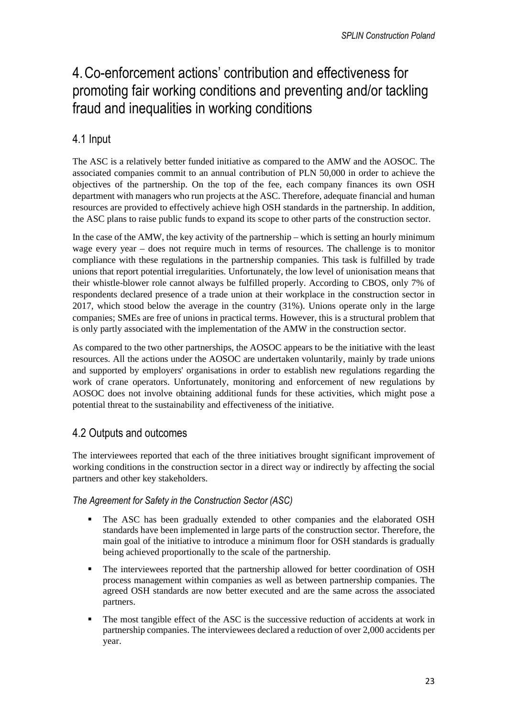# 4.Co-enforcement actions' contribution and effectiveness for promoting fair working conditions and preventing and/or tackling fraud and inequalities in working conditions

## 4.1 Input

The ASC is a relatively better funded initiative as compared to the AMW and the AOSOC. The associated companies commit to an annual contribution of PLN 50,000 in order to achieve the objectives of the partnership. On the top of the fee, each company finances its own OSH department with managers who run projects at the ASC. Therefore, adequate financial and human resources are provided to effectively achieve high OSH standards in the partnership. In addition, the ASC plans to raise public funds to expand its scope to other parts of the construction sector.

In the case of the AMW, the key activity of the partnership – which is setting an hourly minimum wage every year – does not require much in terms of resources. The challenge is to monitor compliance with these regulations in the partnership companies. This task is fulfilled by trade unions that report potential irregularities. Unfortunately, the low level of unionisation means that their whistle-blower role cannot always be fulfilled properly. According to CBOS, only 7% of respondents declared presence of a trade union at their workplace in the construction sector in 2017, which stood below the average in the country (31%). Unions operate only in the large companies; SMEs are free of unions in practical terms. However, this is a structural problem that is only partly associated with the implementation of the AMW in the construction sector.

As compared to the two other partnerships, the AOSOC appears to be the initiative with the least resources. All the actions under the AOSOC are undertaken voluntarily, mainly by trade unions and supported by employers' organisations in order to establish new regulations regarding the work of crane operators. Unfortunately, monitoring and enforcement of new regulations by AOSOC does not involve obtaining additional funds for these activities, which might pose a potential threat to the sustainability and effectiveness of the initiative.

### 4.2 Outputs and outcomes

The interviewees reported that each of the three initiatives brought significant improvement of working conditions in the construction sector in a direct way or indirectly by affecting the social partners and other key stakeholders.

#### *The Agreement for Safety in the Construction Sector (ASC)*

- The ASC has been gradually extended to other companies and the elaborated OSH standards have been implemented in large parts of the construction sector. Therefore, the main goal of the initiative to introduce a minimum floor for OSH standards is gradually being achieved proportionally to the scale of the partnership.
- The interviewees reported that the partnership allowed for better coordination of OSH process management within companies as well as between partnership companies. The agreed OSH standards are now better executed and are the same across the associated partners.
- The most tangible effect of the ASC is the successive reduction of accidents at work in partnership companies. The interviewees declared a reduction of over 2,000 accidents per year.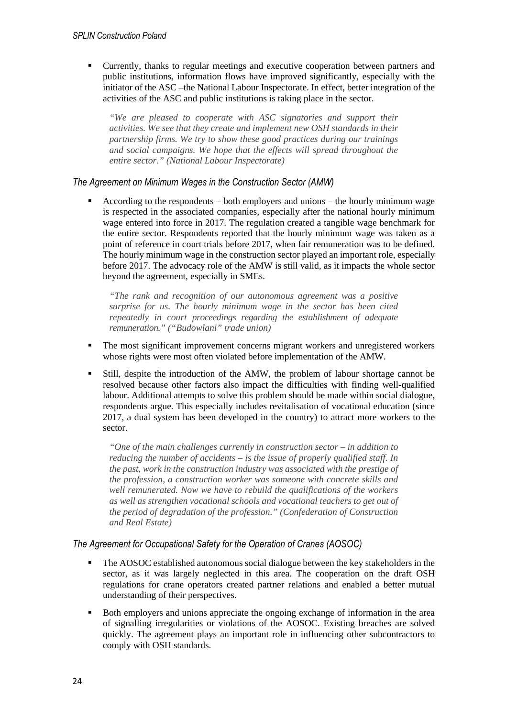Currently, thanks to regular meetings and executive cooperation between partners and public institutions, information flows have improved significantly, especially with the initiator of the ASC –the National Labour Inspectorate. In effect, better integration of the activities of the ASC and public institutions is taking place in the sector.

*"We are pleased to cooperate with ASC signatories and support their activities. We see that they create and implement new OSH standards in their partnership firms. We try to show these good practices during our trainings and social campaigns. We hope that the effects will spread throughout the entire sector." (National Labour Inspectorate)* 

*The Agreement on Minimum Wages in the Construction Sector (AMW)* 

 According to the respondents – both employers and unions – the hourly minimum wage is respected in the associated companies, especially after the national hourly minimum wage entered into force in 2017. The regulation created a tangible wage benchmark for the entire sector. Respondents reported that the hourly minimum wage was taken as a point of reference in court trials before 2017, when fair remuneration was to be defined. The hourly minimum wage in the construction sector played an important role, especially before 2017. The advocacy role of the AMW is still valid, as it impacts the whole sector beyond the agreement, especially in SMEs.

*"The rank and recognition of our autonomous agreement was a positive surprise for us. The hourly minimum wage in the sector has been cited repeatedly in court proceedings regarding the establishment of adequate remuneration." ("Budowlani" trade union)* 

- The most significant improvement concerns migrant workers and unregistered workers whose rights were most often violated before implementation of the AMW.
- Still, despite the introduction of the AMW, the problem of labour shortage cannot be resolved because other factors also impact the difficulties with finding well-qualified labour. Additional attempts to solve this problem should be made within social dialogue, respondents argue. This especially includes revitalisation of vocational education (since 2017, a dual system has been developed in the country) to attract more workers to the sector.

*"One of the main challenges currently in construction sector – in addition to reducing the number of accidents – is the issue of properly qualified staff. In the past, work in the construction industry was associated with the prestige of the profession, a construction worker was someone with concrete skills and well remunerated. Now we have to rebuild the qualifications of the workers as well as strengthen vocational schools and vocational teachers to get out of the period of degradation of the profession." (Confederation of Construction and Real Estate)* 

#### *The Agreement for Occupational Safety for the Operation of Cranes (AOSOC)*

- The AOSOC established autonomous social dialogue between the key stakeholders in the sector, as it was largely neglected in this area. The cooperation on the draft OSH regulations for crane operators created partner relations and enabled a better mutual understanding of their perspectives.
- Both employers and unions appreciate the ongoing exchange of information in the area of signalling irregularities or violations of the AOSOC. Existing breaches are solved quickly. The agreement plays an important role in influencing other subcontractors to comply with OSH standards.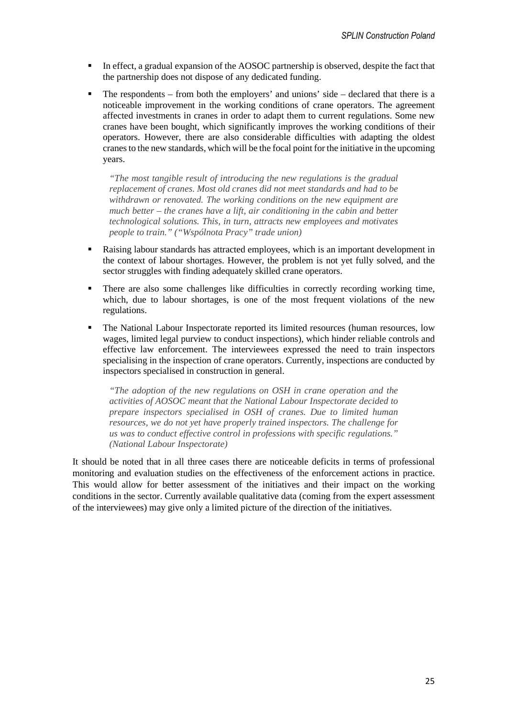- In effect, a gradual expansion of the AOSOC partnership is observed, despite the fact that the partnership does not dispose of any dedicated funding.
- The respondents from both the employers' and unions' side declared that there is a noticeable improvement in the working conditions of crane operators. The agreement affected investments in cranes in order to adapt them to current regulations. Some new cranes have been bought, which significantly improves the working conditions of their operators. However, there are also considerable difficulties with adapting the oldest cranes to the new standards, which will be the focal point for the initiative in the upcoming years.

*"The most tangible result of introducing the new regulations is the gradual replacement of cranes. Most old cranes did not meet standards and had to be withdrawn or renovated. The working conditions on the new equipment are much better – the cranes have a lift, air conditioning in the cabin and better technological solutions. This, in turn, attracts new employees and motivates people to train." ("Wspólnota Pracy" trade union)* 

- Raising labour standards has attracted employees, which is an important development in the context of labour shortages. However, the problem is not yet fully solved, and the sector struggles with finding adequately skilled crane operators.
- There are also some challenges like difficulties in correctly recording working time, which, due to labour shortages, is one of the most frequent violations of the new regulations.
- The National Labour Inspectorate reported its limited resources (human resources, low wages, limited legal purview to conduct inspections), which hinder reliable controls and effective law enforcement. The interviewees expressed the need to train inspectors specialising in the inspection of crane operators. Currently, inspections are conducted by inspectors specialised in construction in general.

*"The adoption of the new regulations on OSH in crane operation and the activities of AOSOC meant that the National Labour Inspectorate decided to prepare inspectors specialised in OSH of cranes. Due to limited human resources, we do not yet have properly trained inspectors. The challenge for us was to conduct effective control in professions with specific regulations." (National Labour Inspectorate)* 

It should be noted that in all three cases there are noticeable deficits in terms of professional monitoring and evaluation studies on the effectiveness of the enforcement actions in practice. This would allow for better assessment of the initiatives and their impact on the working conditions in the sector. Currently available qualitative data (coming from the expert assessment of the interviewees) may give only a limited picture of the direction of the initiatives.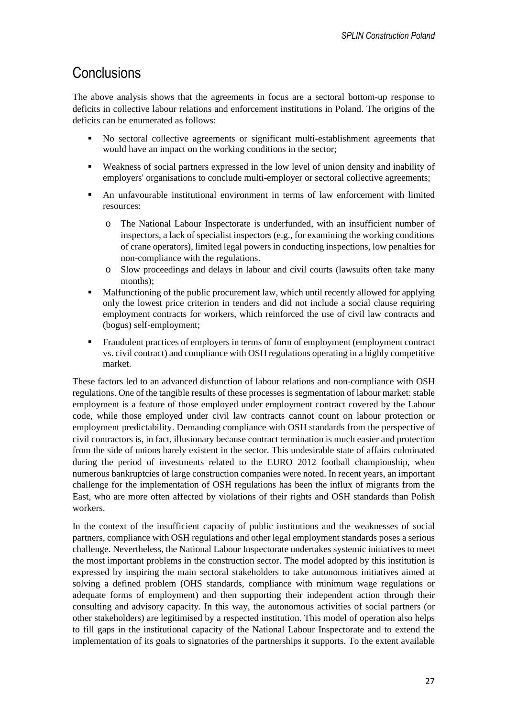## **Conclusions**

The above analysis shows that the agreements in focus are a sectoral bottom-up response to deficits in collective labour relations and enforcement institutions in Poland. The origins of the deficits can be enumerated as follows:

- No sectoral collective agreements or significant multi-establishment agreements that would have an impact on the working conditions in the sector;
- Weakness of social partners expressed in the low level of union density and inability of employers' organisations to conclude multi-employer or sectoral collective agreements;
- An unfavourable institutional environment in terms of law enforcement with limited resources:
	- o The National Labour Inspectorate is underfunded, with an insufficient number of inspectors, a lack of specialist inspectors (e.g., for examining the working conditions of crane operators), limited legal powers in conducting inspections, low penalties for non-compliance with the regulations.
	- o Slow proceedings and delays in labour and civil courts (lawsuits often take many months);
- Malfunctioning of the public procurement law, which until recently allowed for applying only the lowest price criterion in tenders and did not include a social clause requiring employment contracts for workers, which reinforced the use of civil law contracts and (bogus) self-employment;
- Fraudulent practices of employers in terms of form of employment (employment contract vs. civil contract) and compliance with OSH regulations operating in a highly competitive market.

These factors led to an advanced disfunction of labour relations and non-compliance with OSH regulations. One of the tangible results of these processes is segmentation of labour market: stable employment is a feature of those employed under employment contract covered by the Labour code, while those employed under civil law contracts cannot count on labour protection or employment predictability. Demanding compliance with OSH standards from the perspective of civil contractors is, in fact, illusionary because contract termination is much easier and protection from the side of unions barely existent in the sector. This undesirable state of affairs culminated during the period of investments related to the EURO 2012 football championship, when numerous bankruptcies of large construction companies were noted. In recent years, an important challenge for the implementation of OSH regulations has been the influx of migrants from the East, who are more often affected by violations of their rights and OSH standards than Polish workers.

In the context of the insufficient capacity of public institutions and the weaknesses of social partners, compliance with OSH regulations and other legal employment standards poses a serious challenge. Nevertheless, the National Labour Inspectorate undertakes systemic initiatives to meet the most important problems in the construction sector. The model adopted by this institution is expressed by inspiring the main sectoral stakeholders to take autonomous initiatives aimed at solving a defined problem (OHS standards, compliance with minimum wage regulations or adequate forms of employment) and then supporting their independent action through their consulting and advisory capacity. In this way, the autonomous activities of social partners (or other stakeholders) are legitimised by a respected institution. This model of operation also helps to fill gaps in the institutional capacity of the National Labour Inspectorate and to extend the implementation of its goals to signatories of the partnerships it supports. To the extent available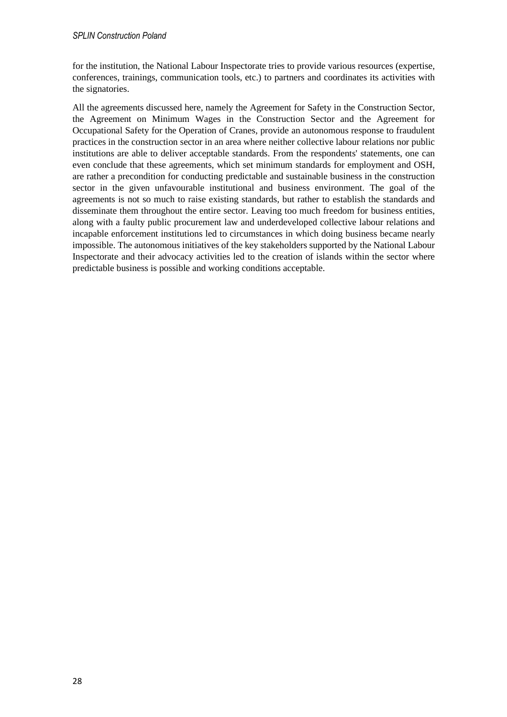for the institution, the National Labour Inspectorate tries to provide various resources (expertise, conferences, trainings, communication tools, etc.) to partners and coordinates its activities with the signatories.

All the agreements discussed here, namely the Agreement for Safety in the Construction Sector, the Agreement on Minimum Wages in the Construction Sector and the Agreement for Occupational Safety for the Operation of Cranes, provide an autonomous response to fraudulent practices in the construction sector in an area where neither collective labour relations nor public institutions are able to deliver acceptable standards. From the respondents' statements, one can even conclude that these agreements, which set minimum standards for employment and OSH, are rather a precondition for conducting predictable and sustainable business in the construction sector in the given unfavourable institutional and business environment. The goal of the agreements is not so much to raise existing standards, but rather to establish the standards and disseminate them throughout the entire sector. Leaving too much freedom for business entities, along with a faulty public procurement law and underdeveloped collective labour relations and incapable enforcement institutions led to circumstances in which doing business became nearly impossible. The autonomous initiatives of the key stakeholders supported by the National Labour Inspectorate and their advocacy activities led to the creation of islands within the sector where predictable business is possible and working conditions acceptable.